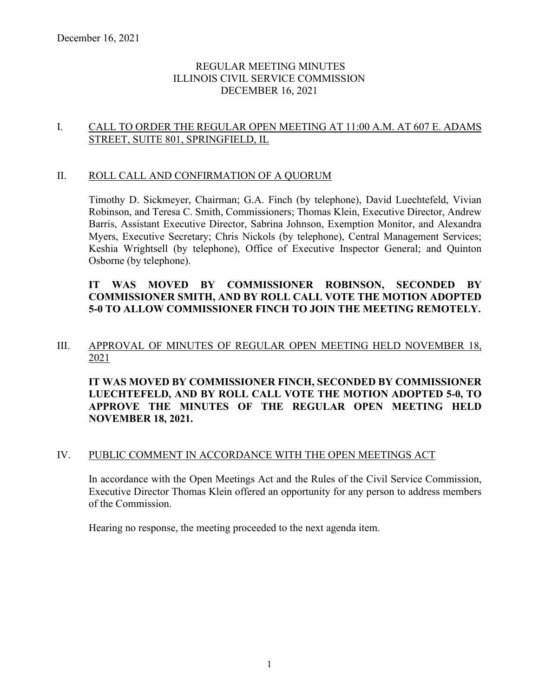## REGULAR MEETING MINUTES ILLINOIS CIVIL SERVICE COMMISSION DECEMBER 16, 2021

## I. CALL TO ORDER THE REGULAR OPEN MEETING AT 11:00 A.M. AT 607 E. ADAMS STREET, SUITE 801, SPRINGFIELD, IL

#### II. ROLL CALL AND CONFIRMATION OF A QUORUM

Timothy D. Sickmeyer, Chairman; G.A. Finch (by telephone), David Luechtefeld, Vivian Robinson, and Teresa C. Smith, Commissioners; Thomas Klein, Executive Director, Andrew Barris, Assistant Executive Director, Sabrina Johnson, Exemption Monitor, and Alexandra Myers, Executive Secretary; Chris Nickols (by telephone), Central Management Services; Keshia Wrightsell (by telephone), Office of Executive Inspector General; and Quinton Osborne (by telephone).

# **IT WAS MOVED BY COMMISSIONER ROBINSON, SECONDED BY COMMISSIONER SMITH, AND BY ROLL CALL VOTE THE MOTION ADOPTED 5-0 TO ALLOW COMMISSIONER FINCH TO JOIN THE MEETING REMOTELY.**

### III. APPROVAL OF MINUTES OF REGULAR OPEN MEETING HELD NOVEMBER 18, 2021

**IT WAS MOVED BY COMMISSIONER FINCH, SECONDED BY COMMISSIONER LUECHTEFELD, AND BY ROLL CALL VOTE THE MOTION ADOPTED 5-0, TO APPROVE THE MINUTES OF THE REGULAR OPEN MEETING HELD NOVEMBER 18, 2021.**

#### IV. PUBLIC COMMENT IN ACCORDANCE WITH THE OPEN MEETINGS ACT

In accordance with the Open Meetings Act and the Rules of the Civil Service Commission, Executive Director Thomas Klein offered an opportunity for any person to address members of the Commission.

Hearing no response, the meeting proceeded to the next agenda item.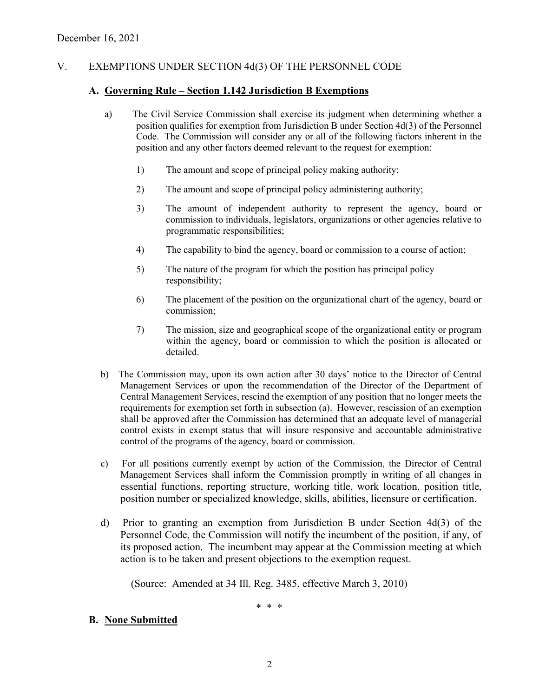# V. EXEMPTIONS UNDER SECTION 4d(3) OF THE PERSONNEL CODE

### **A. Governing Rule – Section 1.142 Jurisdiction B Exemptions**

- a) The Civil Service Commission shall exercise its judgment when determining whether a position qualifies for exemption from Jurisdiction B under Section 4d(3) of the Personnel Code. The Commission will consider any or all of the following factors inherent in the position and any other factors deemed relevant to the request for exemption:
	- 1) The amount and scope of principal policy making authority;
	- 2) The amount and scope of principal policy administering authority;
	- 3) The amount of independent authority to represent the agency, board or commission to individuals, legislators, organizations or other agencies relative to programmatic responsibilities;
	- 4) The capability to bind the agency, board or commission to a course of action;
	- 5) The nature of the program for which the position has principal policy responsibility;
	- 6) The placement of the position on the organizational chart of the agency, board or commission;
	- 7) The mission, size and geographical scope of the organizational entity or program within the agency, board or commission to which the position is allocated or detailed.
- b) The Commission may, upon its own action after 30 days' notice to the Director of Central Management Services or upon the recommendation of the Director of the Department of Central Management Services, rescind the exemption of any position that no longer meets the requirements for exemption set forth in subsection (a). However, rescission of an exemption shall be approved after the Commission has determined that an adequate level of managerial control exists in exempt status that will insure responsive and accountable administrative control of the programs of the agency, board or commission.
- c) For all positions currently exempt by action of the Commission, the Director of Central Management Services shall inform the Commission promptly in writing of all changes in essential functions, reporting structure, working title, work location, position title, position number or specialized knowledge, skills, abilities, licensure or certification.
- d) Prior to granting an exemption from Jurisdiction B under Section 4d(3) of the Personnel Code, the Commission will notify the incumbent of the position, if any, of its proposed action. The incumbent may appear at the Commission meeting at which action is to be taken and present objections to the exemption request.

(Source: Amended at 34 Ill. Reg. 3485, effective March 3, 2010)

\* \* \*

### **B. None Submitted**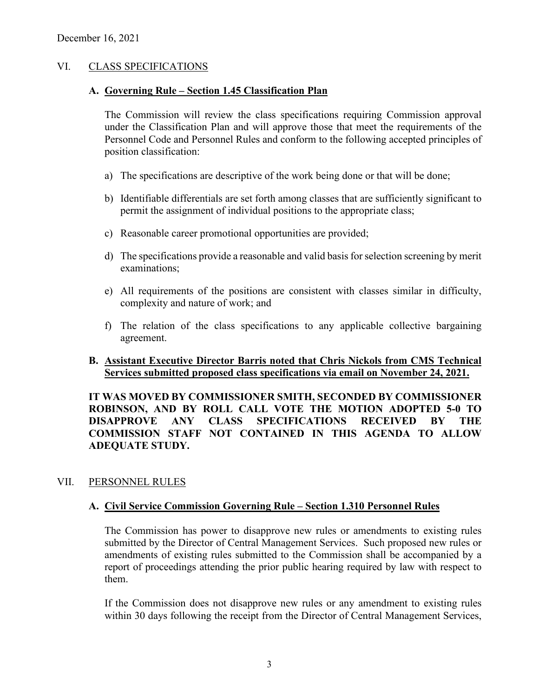## VI. CLASS SPECIFICATIONS

#### **A. Governing Rule – Section 1.45 Classification Plan**

The Commission will review the class specifications requiring Commission approval under the Classification Plan and will approve those that meet the requirements of the Personnel Code and Personnel Rules and conform to the following accepted principles of position classification:

- a) The specifications are descriptive of the work being done or that will be done;
- b) Identifiable differentials are set forth among classes that are sufficiently significant to permit the assignment of individual positions to the appropriate class;
- c) Reasonable career promotional opportunities are provided;
- d) The specifications provide a reasonable and valid basis for selection screening by merit examinations;
- e) All requirements of the positions are consistent with classes similar in difficulty, complexity and nature of work; and
- f) The relation of the class specifications to any applicable collective bargaining agreement.

#### **B. Assistant Executive Director Barris noted that Chris Nickols from CMS Technical Services submitted proposed class specifications via email on November 24, 2021.**

**IT WAS MOVED BY COMMISSIONER SMITH, SECONDED BY COMMISSIONER ROBINSON, AND BY ROLL CALL VOTE THE MOTION ADOPTED 5-0 TO DISAPPROVE ANY CLASS SPECIFICATIONS RECEIVED BY THE COMMISSION STAFF NOT CONTAINED IN THIS AGENDA TO ALLOW ADEQUATE STUDY.** 

## VII. PERSONNEL RULES

#### **A. Civil Service Commission Governing Rule – Section 1.310 Personnel Rules**

The Commission has power to disapprove new rules or amendments to existing rules submitted by the Director of Central Management Services. Such proposed new rules or amendments of existing rules submitted to the Commission shall be accompanied by a report of proceedings attending the prior public hearing required by law with respect to them.

If the Commission does not disapprove new rules or any amendment to existing rules within 30 days following the receipt from the Director of Central Management Services,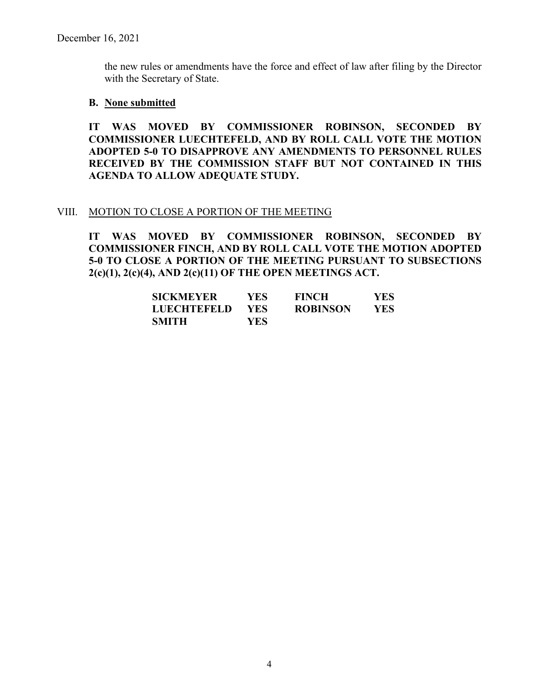the new rules or amendments have the force and effect of law after filing by the Director with the Secretary of State.

#### **B. None submitted**

**IT WAS MOVED BY COMMISSIONER ROBINSON, SECONDED BY COMMISSIONER LUECHTEFELD, AND BY ROLL CALL VOTE THE MOTION ADOPTED 5-0 TO DISAPPROVE ANY AMENDMENTS TO PERSONNEL RULES RECEIVED BY THE COMMISSION STAFF BUT NOT CONTAINED IN THIS AGENDA TO ALLOW ADEQUATE STUDY.** 

#### VIII. MOTION TO CLOSE A PORTION OF THE MEETING

**IT WAS MOVED BY COMMISSIONER ROBINSON, SECONDED BY COMMISSIONER FINCH, AND BY ROLL CALL VOTE THE MOTION ADOPTED 5-0 TO CLOSE A PORTION OF THE MEETING PURSUANT TO SUBSECTIONS 2(c)(1), 2(c)(4), AND 2(c)(11) OF THE OPEN MEETINGS ACT.**

| <b>SICKMEYER</b>   | YES. | <b>FINCH</b>    | YES |
|--------------------|------|-----------------|-----|
| <b>LUECHTEFELD</b> | YES  | <b>ROBINSON</b> | YES |
| SMITH              | YES  |                 |     |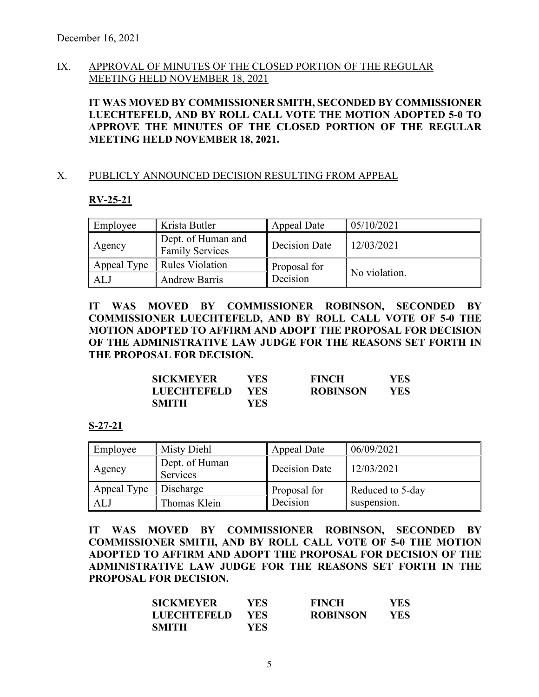## IX. APPROVAL OF MINUTES OF THE CLOSED PORTION OF THE REGULAR MEETING HELD NOVEMBER 18, 2021

**IT WAS MOVED BY COMMISSIONER SMITH, SECONDED BY COMMISSIONER LUECHTEFELD, AND BY ROLL CALL VOTE THE MOTION ADOPTED 5-0 TO APPROVE THE MINUTES OF THE CLOSED PORTION OF THE REGULAR MEETING HELD NOVEMBER 18, 2021.** 

#### X. PUBLICLY ANNOUNCED DECISION RESULTING FROM APPEAL

#### **RV-25-21**

| Employee    | Krista Butler                                | Appeal Date   | 05/10/2021    |
|-------------|----------------------------------------------|---------------|---------------|
| Agency      | Dept. of Human and<br><b>Family Services</b> | Decision Date | 12/03/2021    |
| Appeal Type | <b>Rules Violation</b>                       | Proposal for  |               |
| ALJ         | <b>Andrew Barris</b>                         | Decision      | No violation. |

**IT WAS MOVED BY COMMISSIONER ROBINSON, SECONDED BY COMMISSIONER LUECHTEFELD, AND BY ROLL CALL VOTE OF 5-0 THE MOTION ADOPTED TO AFFIRM AND ADOPT THE PROPOSAL FOR DECISION OF THE ADMINISTRATIVE LAW JUDGE FOR THE REASONS SET FORTH IN THE PROPOSAL FOR DECISION.** 

| <b>SICKMEYER</b>   | YES  | <b>FINCH</b>    | YES  |
|--------------------|------|-----------------|------|
| <b>LUECHTEFELD</b> | YES. | <b>ROBINSON</b> | YES. |
| <b>SMITH</b>       | YES  |                 |      |

#### **S-27-21**

| Employee    | Misty Diehl                | Appeal Date   | 06/09/2021       |
|-------------|----------------------------|---------------|------------------|
| Agency      | Dept. of Human<br>Services | Decision Date | 12/03/2021       |
| Appeal Type | Discharge                  | Proposal for  | Reduced to 5-day |
| ALJ         | Thomas Klein               | Decision      | suspension.      |

**IT WAS MOVED BY COMMISSIONER ROBINSON, SECONDED BY COMMISSIONER SMITH, AND BY ROLL CALL VOTE OF 5-0 THE MOTION ADOPTED TO AFFIRM AND ADOPT THE PROPOSAL FOR DECISION OF THE ADMINISTRATIVE LAW JUDGE FOR THE REASONS SET FORTH IN THE PROPOSAL FOR DECISION.** 

| SICKMEYER          | YES  | <b>FINCH</b>    | YES. |
|--------------------|------|-----------------|------|
| <b>LUECHTEFELD</b> | YES. | <b>ROBINSON</b> | YES  |
| <b>SMITH</b>       | YES  |                 |      |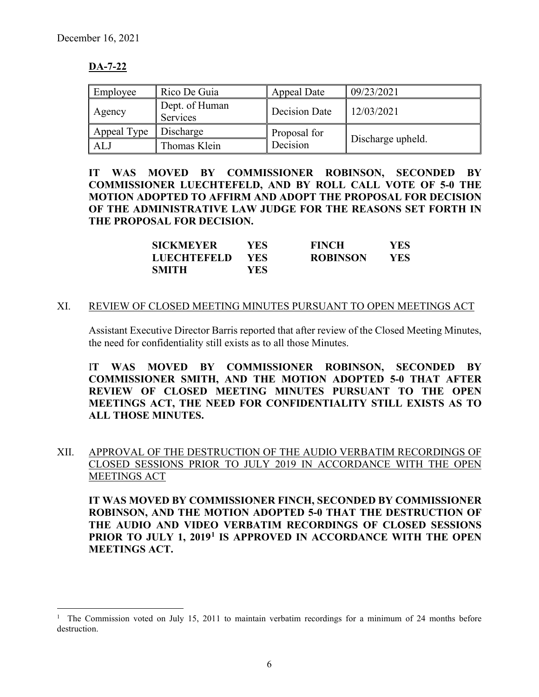# **DA-7-22**

| Employee    | Rico De Guia               | Appeal Date   | 09/23/2021        |
|-------------|----------------------------|---------------|-------------------|
| Agency      | Dept. of Human<br>Services | Decision Date | 12/03/2021        |
| Appeal Type | Discharge                  | Proposal for  |                   |
| AL.         | Thomas Klein               | Decision      | Discharge upheld. |

**IT WAS MOVED BY COMMISSIONER ROBINSON, SECONDED BY COMMISSIONER LUECHTEFELD, AND BY ROLL CALL VOTE OF 5-0 THE MOTION ADOPTED TO AFFIRM AND ADOPT THE PROPOSAL FOR DECISION OF THE ADMINISTRATIVE LAW JUDGE FOR THE REASONS SET FORTH IN THE PROPOSAL FOR DECISION.** 

| <b>SICKMEYER</b>   | YES. | <b>FINCH</b>    | YES. |
|--------------------|------|-----------------|------|
| <b>LUECHTEFELD</b> | YES. | <b>ROBINSON</b> | YES  |
| <b>SMITH</b>       | YES. |                 |      |

#### XI. REVIEW OF CLOSED MEETING MINUTES PURSUANT TO OPEN MEETINGS ACT

Assistant Executive Director Barris reported that after review of the Closed Meeting Minutes, the need for confidentiality still exists as to all those Minutes.

I**T WAS MOVED BY COMMISSIONER ROBINSON, SECONDED BY COMMISSIONER SMITH, AND THE MOTION ADOPTED 5-0 THAT AFTER REVIEW OF CLOSED MEETING MINUTES PURSUANT TO THE OPEN MEETINGS ACT, THE NEED FOR CONFIDENTIALITY STILL EXISTS AS TO ALL THOSE MINUTES.**

XII. APPROVAL OF THE DESTRUCTION OF THE AUDIO VERBATIM RECORDINGS OF CLOSED SESSIONS PRIOR TO JULY 2019 IN ACCORDANCE WITH THE OPEN MEETINGS ACT

**IT WAS MOVED BY COMMISSIONER FINCH, SECONDED BY COMMISSIONER ROBINSON, AND THE MOTION ADOPTED 5-0 THAT THE DESTRUCTION OF THE AUDIO AND VIDEO VERBATIM RECORDINGS OF CLOSED SESSIONS PRIOR TO JULY 1, 2019[1](#page-5-0) IS APPROVED IN ACCORDANCE WITH THE OPEN MEETINGS ACT.**

<span id="page-5-0"></span><sup>1</sup> The Commission voted on July 15, 2011 to maintain verbatim recordings for a minimum of 24 months before destruction.